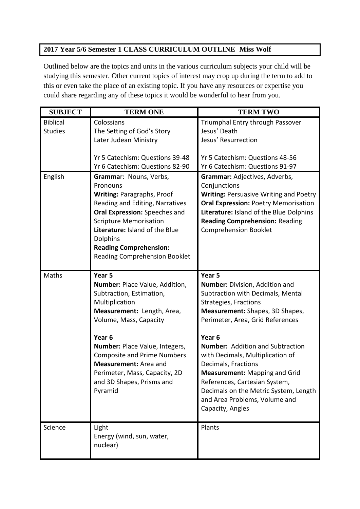## **2017 Year 5/6 Semester 1 CLASS CURRICULUM OUTLINE Miss Wolf**

Outlined below are the topics and units in the various curriculum subjects your child will be studying this semester. Other current topics of interest may crop up during the term to add to this or even take the place of an existing topic. If you have any resources or expertise you could share regarding any of these topics it would be wonderful to hear from you.

| <b>SUBJECT</b>  | <b>TERM ONE</b>                                                    | <b>TERM TWO</b>                                                    |
|-----------------|--------------------------------------------------------------------|--------------------------------------------------------------------|
| <b>Biblical</b> | Colossians                                                         | Triumphal Entry through Passover                                   |
| <b>Studies</b>  | The Setting of God's Story                                         | Jesus' Death                                                       |
|                 | Later Judean Ministry                                              | Jesus' Resurrection                                                |
|                 |                                                                    |                                                                    |
|                 | Yr 5 Catechism: Questions 39-48<br>Yr 6 Catechism: Questions 82-90 | Yr 5 Catechism: Questions 48-56<br>Yr 6 Catechism: Questions 91-97 |
| English         | Grammar: Nouns, Verbs,                                             | Grammar: Adjectives, Adverbs,                                      |
|                 | Pronouns                                                           | Conjunctions                                                       |
|                 | <b>Writing: Paragraphs, Proof</b>                                  | <b>Writing: Persuasive Writing and Poetry</b>                      |
|                 | Reading and Editing, Narratives                                    | <b>Oral Expression: Poetry Memorisation</b>                        |
|                 | Oral Expression: Speeches and                                      | Literature: Island of the Blue Dolphins                            |
|                 | <b>Scripture Memorisation</b>                                      | <b>Reading Comprehension: Reading</b>                              |
|                 | Literature: Island of the Blue                                     | <b>Comprehension Booklet</b>                                       |
|                 | <b>Dolphins</b>                                                    |                                                                    |
|                 | <b>Reading Comprehension:</b>                                      |                                                                    |
|                 | <b>Reading Comprehension Booklet</b>                               |                                                                    |
| Maths           | Year <sub>5</sub>                                                  | Year 5                                                             |
|                 | Number: Place Value, Addition,                                     | Number: Division, Addition and                                     |
|                 | Subtraction, Estimation,                                           | Subtraction with Decimals, Mental                                  |
|                 | Multiplication                                                     | <b>Strategies, Fractions</b>                                       |
|                 | Measurement: Length, Area,                                         | Measurement: Shapes, 3D Shapes,                                    |
|                 | Volume, Mass, Capacity                                             | Perimeter, Area, Grid References                                   |
|                 |                                                                    |                                                                    |
|                 | Year <sub>6</sub>                                                  | Year <sub>6</sub>                                                  |
|                 | Number: Place Value, Integers,                                     | <b>Number:</b> Addition and Subtraction                            |
|                 | <b>Composite and Prime Numbers</b><br>Measurement: Area and        | with Decimals, Multiplication of                                   |
|                 | Perimeter, Mass, Capacity, 2D                                      | Decimals, Fractions<br><b>Measurement: Mapping and Grid</b>        |
|                 | and 3D Shapes, Prisms and                                          | References, Cartesian System,                                      |
|                 | Pyramid                                                            | Decimals on the Metric System, Length                              |
|                 |                                                                    | and Area Problems, Volume and                                      |
|                 |                                                                    | Capacity, Angles                                                   |
|                 |                                                                    |                                                                    |
| Science         | Light                                                              | Plants                                                             |
|                 | Energy (wind, sun, water,                                          |                                                                    |
|                 | nuclear)                                                           |                                                                    |
|                 |                                                                    |                                                                    |